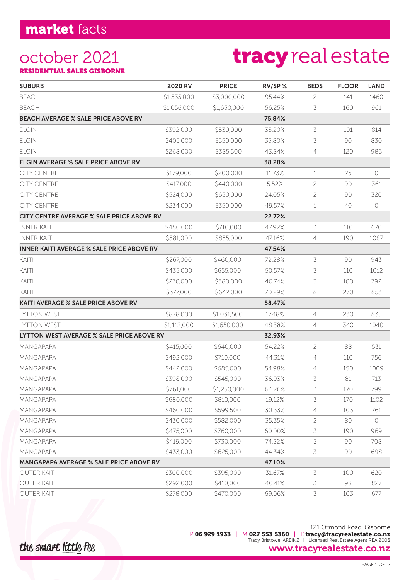### october 2021 RESIDENTIAL SALES GISBORNE

# tracy real estate

| <b>SUBURB</b>                                    | 2020 RV     | <b>PRICE</b> | RV/SP% | <b>BEDS</b>    | <b>FLOOR</b> | <b>LAND</b> |
|--------------------------------------------------|-------------|--------------|--------|----------------|--------------|-------------|
| <b>BEACH</b>                                     | \$1,535,000 | \$3,000,000  | 95.44% | 2              | 141          | 1460        |
| <b>BEACH</b>                                     | \$1,056,000 | \$1,650,000  | 56.25% | 3              | 160          | 961         |
| <b>BEACH AVERAGE % SALE PRICE ABOVE RV</b>       |             |              | 75.84% |                |              |             |
| <b>ELGIN</b>                                     | \$392,000   | \$530,000    | 35.20% | 3              | 101          | 814         |
| <b>ELGIN</b>                                     | \$405,000   | \$550,000    | 35.80% | 3              | 90           | 830         |
| <b>ELGIN</b>                                     | \$268,000   | \$385,500    | 43.84% | 4              | 120          | 986         |
| <b>ELGIN AVERAGE % SALE PRICE ABOVE RV</b>       |             |              | 38.28% |                |              |             |
| <b>CITY CENTRE</b>                               | \$179,000   | \$200,000    | 11.73% | 1              | 25           | $\circ$     |
| <b>CITY CENTRE</b>                               | \$417,000   | \$440,000    | 5.52%  | 2              | 90           | 361         |
| <b>CITY CENTRE</b>                               | \$524,000   | \$650,000    | 24.05% | 2              | 90           | 320         |
| <b>CITY CENTRE</b>                               | \$234,000   | \$350,000    | 49.57% | 1              | 40           | 0           |
| CITY CENTRE AVERAGE % SALE PRICE ABOVE RV        |             |              | 22.72% |                |              |             |
| <b>INNER KAITI</b>                               | \$480,000   | \$710,000    | 47.92% | 3              | 110          | 670         |
| <b>INNER KAITI</b>                               | \$581,000   | \$855,000    | 47.16% | 4              | 190          | 1087        |
| <b>INNER KAITI AVERAGE % SALE PRICE ABOVE RV</b> |             |              | 47.54% |                |              |             |
| KAITI                                            | \$267,000   | \$460,000    | 72.28% | 3              | 90           | 943         |
| KAITI                                            | \$435,000   | \$655,000    | 50.57% | 3              | 110          | 1012        |
| KAITI                                            | \$270,000   | \$380,000    | 40.74% | 3              | 100          | 792         |
| KAITI                                            | \$377,000   | \$642,000    | 70.29% | 8              | 270          | 853         |
| <b>KAITI AVERAGE % SALE PRICE ABOVE RV</b>       |             |              | 58.47% |                |              |             |
| LYTTON WEST                                      | \$878,000   | \$1,031,500  | 17.48% | $\overline{4}$ | 230          | 835         |
| <b>LYTTON WEST</b>                               | \$1,112,000 | \$1,650,000  | 48.38% | 4              | 340          | 1040        |
| LYTTON WEST AVERAGE % SALE PRICE ABOVE RV        |             |              | 32.93% |                |              |             |
| MANGAPAPA                                        | \$415,000   | \$640,000    | 54.22% | $\overline{c}$ | 88           | 531         |
| MANGAPAPA                                        | \$492,000   | \$710,000    | 44.31% | 4              | 110          | 756         |
| <b>MANGAPAPA</b>                                 | \$442,000   | \$685,000    | 54.98% | $\overline{4}$ | 150          | 1009        |
| MANGAPAPA                                        | \$398,000   | \$545,000    | 36.93% | 3              | 81           | 713         |
| MANGAPAPA                                        | \$761,000   | \$1,250,000  | 64.26% | 3              | 170          | 799         |
| <b>MANGAPAPA</b>                                 | \$680,000   | \$810,000    | 19.12% | 3              | 170          | 1102        |
| MANGAPAPA                                        | \$460,000   | \$599,500    | 30.33% | $\overline{4}$ | 103          | 761         |
| <b>MANGAPAPA</b>                                 | \$430,000   | \$582,000    | 35.35% | 2              | 80           | 0           |
| <b>MANGAPAPA</b>                                 | \$475,000   | \$760,000    | 60.00% | 3              | 190          | 969         |
| MANGAPAPA                                        | \$419,000   | \$730,000    | 74.22% | 3              | 90           | 708         |
| MANGAPAPA                                        | \$433,000   | \$625,000    | 44.34% | 3              | 90           | 698         |
| <b>MANGAPAPA AVERAGE % SALE PRICE ABOVE RV</b>   |             |              | 47.10% |                |              |             |
| <b>OUTER KAITI</b>                               | \$300,000   | \$395,000    | 31.67% | 3              | 100          | 620         |
| <b>OUTER KAITI</b>                               | \$292,000   | \$410,000    | 40.41% | 3              | 98           | 827         |
| <b>OUTER KAITI</b>                               | \$278,000   | \$470,000    | 69.06% | 3              | 103          | 677         |

121 Ormond Road, Gisborne P 06 929 1933 | M 027 553 5360 | E tracy@tracyrealestate.co.nz Tracy Bristowe, AREINZ | Licensed Real Estate Agent REA 2008 www.tracyrealestate.co.nz

the smart little fee